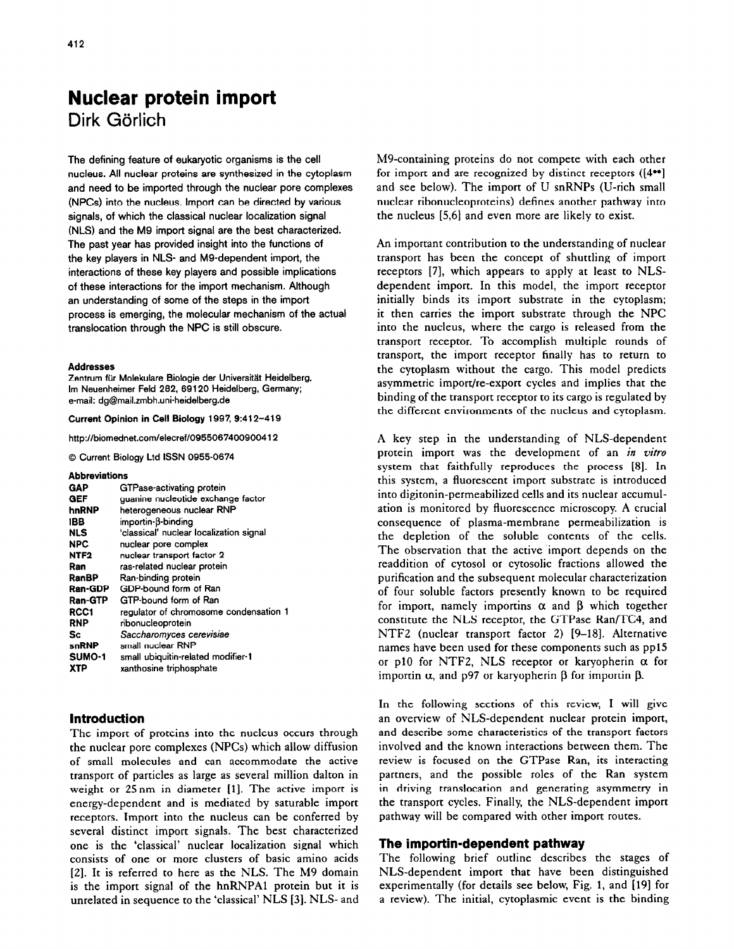# **Nuclear protein import**  Dirk Görlich

The defining feature of eukaryotic organisms is the cell nucleus. All nuclear proteins are synthesized in the cytoplasm and need to be imported through the nuclear pore complexes (NPCs) into the nucleus. Import can be directed by various signals, of which the classical nuclear localization signal (NLS) and the M9 import signal are the best characterized. The past year has provided insight into the functions of the key players in NLS- and MS-dependent import, the interactions of these key players and possible implications of these interactions for the import mechanism. Although an understanding of some of the steps in the import process is emerging, the molecular mechanism of the actual translocation through the NPC is still obscure.

#### Addresses

Zentrum **fur Molekulare Biologie der Universitat Heidelberg, Im Neuenheimer Feld 282, 89120 Heidelberg, Germany; e-mail: dg@mail.zmbh.uni-heidelberg.de** 

#### **Current Opinion in Cell Biology 1997, 9:412-419**

**http://biomednet.comlelecref/0955087400900412** 

**0 Current Biology Ltd ISSN 0955-0874** 

#### **Abbreviations**

## **Introduction**

The import of proteins into the nucleus occurs through the nuclear pore complexes (NPCs) which allow diffusion of small molecules and can accommodate the active transport of particles as large as several million dalton in weight or 25 nm in diameter [1]. The active import is energy-dependent and is mediated by saturable import receptors. Import into the nucleus can be conferred by several distinct import signals. The best characterized one is the 'classical' nuclear localization signal which consists of one or more clusters of basic amino acids [2]. It is referred to here as the NLS. The M9 domain is the import signal of the hnRNPA1 protein but it is unrelated in sequence to the 'classical' NLS [3]. NLS- and M9-containing proteins do not compete with each other for import and are recognized by distinct receptors ((4\*\*] and see below). The import of U snRNPs (U-rich small nuclear ribonucleoproteins) defines another pathway into the nucleus [5,6] and even more are likely to exist.

An important contribution to the understanding of nuclear transport has been the concept of shuttling of import receptors [7], which appears to apply at least to NLSdependent import. In this model, the import receptor initially binds its import substrate in the cytoplasm; it then carries the import substrate through the NPC into the nucleus, where the cargo is released from the transport receptor. To accomplish multiple rounds of transport, the import receptor finally has to return to the cytoplasm without the cargo. This model predicts asymmetric import/re-export cycles and implies that the binding of the transport receptor to its cargo is regulated by the different environments of the nucleus and cytoplasm.

A key step in the understanding of NLS-dependent protein import was the development of an in vitro system that faithfully reproduces the process [8]. In this system, a fluorescent import substrate is introduced into digitonin-permeabilized cells and its nuclear accumulation is monitored by fluorescence microscopy. A crucial consequence of plasma-membrane permeabilization is the depletion of the soluble contents of the cells. The observation that the active import depends on the readdition of cytosol or cytosolic fractions allowed the purification and the subsequent molecular characterization of four soluble factors presently known to be required for import, namely importins  $\alpha$  and  $\beta$  which together constitute the NLS receptor, the GTPase Ran/TC4, and NTF2 (nuclear transport factor 2) [9-18]. Alternative names have been used for these components such as pp15 or p10 for NTFZ, NLS receptor or karyopherin *a* for importin  $\alpha$ , and p97 or karyopherin  $\beta$  for importin  $\beta$ .

In the following sections of this review, I will give an overview of NLS-dependent nuclear protein import, and describe some characteristics of the transport factors involved and the known interactions between them. The review is focused on the GTPase Ran, its interacting partners, and the possible roles of the Ran system in driving translocation and generating asymmetry in the transport cycles. Finally, the NLS-dependent import pathway will be compared with other import routes.

## **The importin-dependent pathway**

The following brief outline describes the stages of NLS-dependent import that have been distinguished experimentally (for details see below, Fig. 1, and [19] for a review). The initial, cytoplasmic event is the binding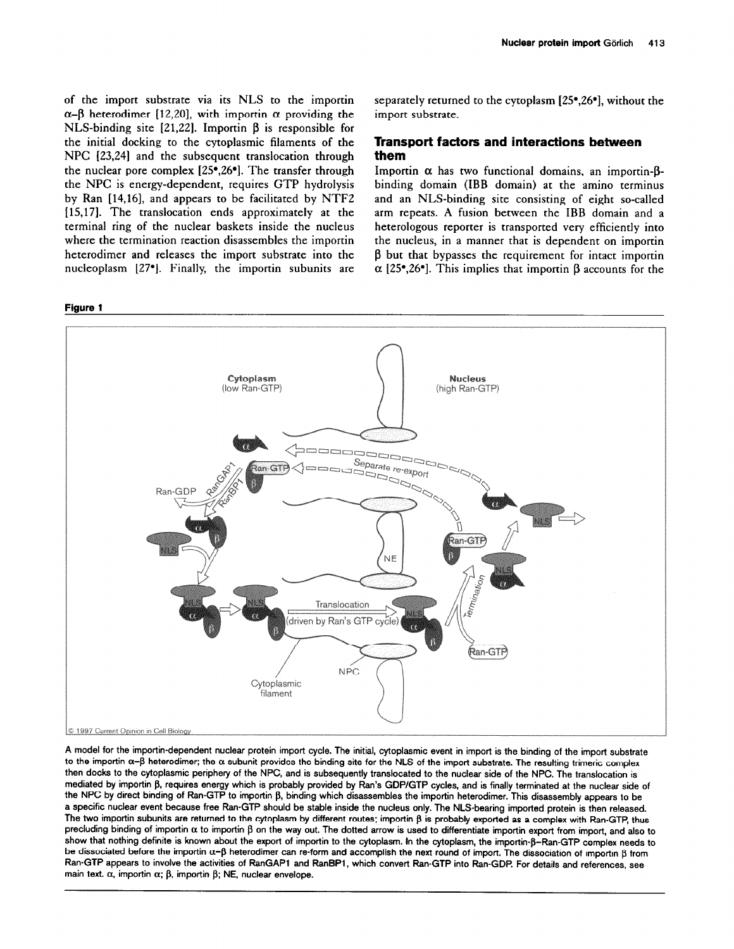of the import substrate via its NLS to the importin  $\alpha-\beta$  heterodimer [12,20], with importin  $\alpha$  providing the NLS-binding site [21,22]. Importin  $\beta$  is responsible for the initial docking to the cytoplasmic filaments of the NPC [23,24] and the subsequent translocation through the nuclear pore complex [25\*,26']. The transfer through the NPC is energy-dependent, requires GTP hydrolysis by Ran [14,16], and appears to be facilitated by NTFZ [15,17]. The translocation ends approximately at the terminal ring of the nuclear baskets inside the nucleus where the termination reaction disassembles the importin heterodimer and releases the import substrate into the nucleoplasm [27']. Finally, the importin subunits are

#### **Figure 1**

separately returned to the cytoplasm [25\*,26\*], without the import substrate.

## **Transport factors and interactions between them**

Importin  $\alpha$  has two functional domains, an importin- $\beta$ binding domain (IBB domain) at the amino terminus and an NLS-binding site consisting of eight so-called arm repeats. A fusion between the IBB domain and a heterologous reporter is transported very efficiently into the nucleus, in a manner that is dependent on importin  $\beta$  but that bypasses the requirement for intact importin  $\alpha$  [25<sup>°</sup>,26<sup>°</sup>]. This implies that importin  $\beta$  accounts for the



**A model for the importin-dependent nuclear protein import cycle. The initial, cytoplasmic event in import is the binding of the import substrate**  to the importin  $\alpha-\beta$  heterodimer; the  $\alpha$  subunit provides the binding site for the NLS of the import substrate. The resulting trimeric complex **then docks to the cytoplasmic periphery of the NPC, and is subsequently translocated to the nuclear side of the NPC. The translocation is**  mediated by importin  $\beta$ , requires energy which is probably provided by Ran's GDP/GTP cycles, and is finally terminated at the nuclear side of the NPC by direct binding of Ran-GTP to importin β, binding which disassembles the importin heterodimer. This disassembly appears to be **a specific nuclear event because free Ran-GTP should be stable inside the nucleus only. The NLS-bearing imported protein is then released.**  The two importin subunits are returned to the cytoplasm by different routes; importin  $\beta$  is probably exported as a complex with Ran-GTP, thus  $p$ recluding binding of importin  $\alpha$  to importin  $\beta$  on the way out. The dotted arrow is used to differentiate importin export from import, and also to show that nothing definite is known about the export of importin to the cytoplasm. In the cytoplasm, the importin- $\beta$ -Ran-GTP complex needs to be dissociated before the importin α-β heterodimer can re-form and accomplish the next round of import. The dissociation of importin β from **Ran-GTP appears to involve the activities of RanGAPl and RanBPl, which convert Ran-GTP into Ran-GDP For details and references, see**  main text.  $\alpha$ , importin  $\alpha$ ;  $\beta$ , importin  $\beta$ ; NE, nuclear envelope.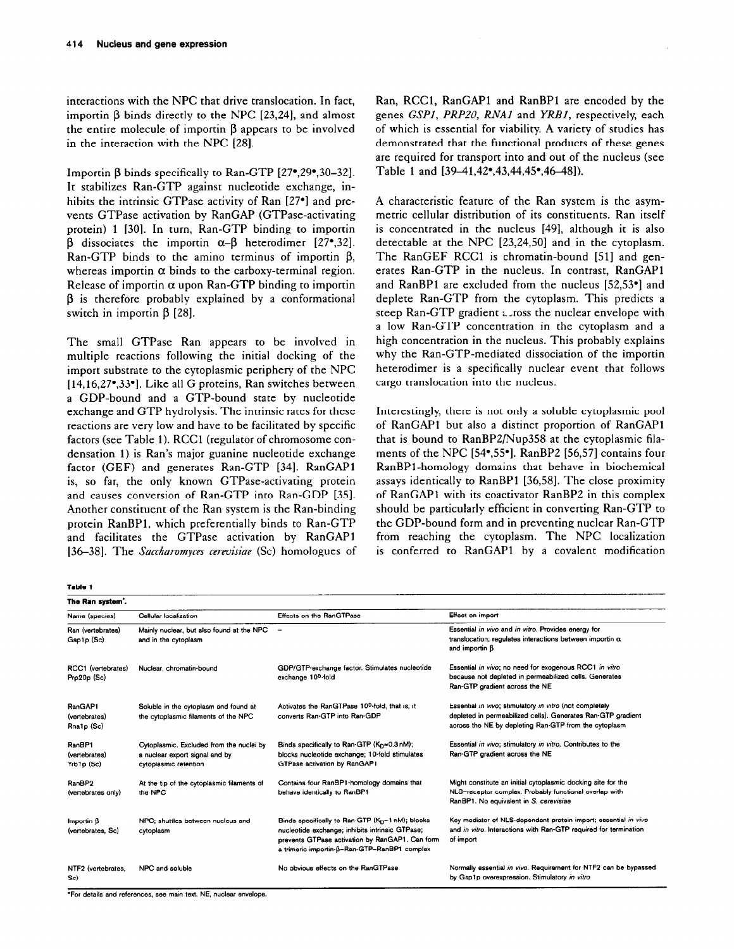interactions with the NPC that drive translocation. In fact, importin  $\beta$  binds directly to the NPC [23,24], and almost the entire molecule of importin B appears to be involved in the interaction with the NPC (281.

Importin  $\beta$  binds specifically to Ran-GTP [27°,29°,30-32]. It stabilizes Ran-GTP against nucleotide exchange, inhibits the intrinsic GTPase activity of Ran [27<sup>°</sup>] and prevents GTPase activation by RanGAP (GTPase-activating protein) 1 [30]. In turn, Ran-GTP binding to importin  $\beta$  dissociates the importin  $\alpha-\beta$  heterodimer [27<sup>o</sup>, 32]. Ran-GTP binds to the amino terminus of importin  $\beta$ , whereas importin  $\alpha$  binds to the carboxy-terminal region. Release of importin  $\alpha$  upon Ran-GTP binding to importin  $\beta$  is therefore probably explained by a conformational switch in importin  $\beta$  [28].

The small GTPase Ran appears to be involved in multiple reactions following the initial docking of the import substrate to the cytoplasmic periphery of the NPC [14,16,27\*,33\*]. Like all G proteins, Ran switches between a GDP-bound and a GTP-bound state by nucleotide exchange and GTP hydrolysis. The intrinsic rates for these reactions are very low and have to be facilitated by specific factors (see Table 1). RCCl (regulator of chromosome condensation 1) is Ran's major guanine nucleotide exchange factor (GEF) and generates Ran-GTP [34]. RanGAPl is, so far, the only known GTPase-activating protein and causes conversion of Ran-GTP into Ran-GDP [35]. Another constituent of the Ran system is the Ran-binding protein RanBPl, which preferentially binds to Ran-GTP and facilitates the GTPase activation by RanGAPl [36-381. The *Saccharomyces cerevisiae (SC)* homologues of Ran, RCCl, RanGAPl and RanBPl are encoded by the genes *GSPI, PRPZO, RNA1* and YRBI, respectively, each of which is essential for viability. A variety of studies has demonstrated that the functional products of these genes are required for transport into and out of the nucleus (see Table 1 and [39-41,42\*,43,44,45\*,46-48]).

A characteristic feature of the Ran system is the asymmetric cellular distribution of its constituents. Ran itself is concentrated in the nucleus [49], although it is also detectable at the NPC [23,24,50] and in the cytoplasm. The RanGEF RCC1 is chromatin-bound [51] and generates Ran-GTP in the nucleus. In contrast, RanGAPl and RanBP1 are excluded from the nucleus  $[52,53]$  and deplete Ran-GTP from the cytoplasm. This predicts a steep Ran-GTP gradient alross the nuclear envelope with a low Ran-GTP concentration in the cytoplasm and a high concentration in the nucleus. This probably explains why the Ran-GTP-mediated dissociation of the importin heterodimer is a specifically nuclear event that follows cargo translocation into the nucleus.

Interestingly, there is not only a soluble cytoplasmic pool of RanGAPl but also a distinct proportion of RanGAPl that is bound to RanBPZ/Nup358 at the cytoplasmic filaments of the NPC [54.55.]. RanBP2 [56,57] contains four RanBPl-homology domains that behave in biochemical assays identically to RanBPl [36,58]. The close proximity of RanGAPl with its coactivator RanBP2 in this complex should be particularly efficient in converting Ran-GTP to the GDP-bound form and in preventing nuclear Ran-GTP from reaching the cytoplasm. The NPC localization is conferred to RanGAPl by a covalent modification

| The Ran system'.                       |                                                                                                     |                                                                                                                                                                                                       |                                                                                                                                                                                  |
|----------------------------------------|-----------------------------------------------------------------------------------------------------|-------------------------------------------------------------------------------------------------------------------------------------------------------------------------------------------------------|----------------------------------------------------------------------------------------------------------------------------------------------------------------------------------|
| Name (species)                         | Cellular localization                                                                               | Effects on the RanGTPase                                                                                                                                                                              | Effect on import                                                                                                                                                                 |
| Ran (vertebrates)<br>Gsp1p (Sc)        | Mainly nuclear, but also found at the NPC<br>and in the cytoplasm                                   | $\overline{\phantom{0}}$                                                                                                                                                                              | Essential in vivo and in vitro. Provides energy for<br>translocation; regulates interactions between importin $\alpha$<br>and importin B                                         |
| RCC1 (vertebrates)<br>Prp20p (Sc)      | Nuclear, chromatin-bound                                                                            | GDP/GTP-exchange factor. Stimulates nucleotide<br>exchange 10 <sup>5</sup> -fold                                                                                                                      | Essential in vivo; no need for exogenous RCC1 in vitro<br>because not depleted in permeabilized cells. Generates<br>Ran-GTP gradient across the NE                               |
| RanGAP1<br>(vertebrates)<br>Rna1p (Sc) | Soluble in the cytoplasm and found at<br>the cytoplasmic filaments of the NPC                       | Activates the RanGTPase 10 <sup>5</sup> -fold, that is, it<br>converts Ran-GTP into Ran-GDP                                                                                                           | Essential in vivo; stimulatory in vitro (not completely<br>depleted in permeabilized cells). Generates Ran-GTP gradient<br>across the NE by depleting Ran-GTP from the cytoplasm |
| RanBP1<br>(vertebrates)<br>Yrb1p (Sc)  | Cytoplasmic. Excluded from the nuclei by<br>a nuclear export signal and by<br>cytoplasmic retention | Binds specifically to Ran-GTP ( $KD \approx 0.3$ nM);<br>blocks nucleotide exchange; 10-fold stimulates<br>GTPase activation by RanGAP1                                                               | Essential in vivo; stimulatory in vitro. Contributes to the<br>Ran-GTP gradient across the NE                                                                                    |
| RanBP2<br>(vertebrates only)           | At the tip of the cytoplasmic filaments of<br>the NPC                                               | Contains four RanBP1-homology domains that<br>behave identically to RanBP1                                                                                                                            | Might constitute an initial cytoplasmic docking site for the<br>NLS-receptor complex. Probably functional overlap with<br>RanBP1. No equivalent in S. cerevisiae                 |
| Importin B<br>(vertebrates, Sc)        | NPC: shuttles between nucleus and<br>cytoplasm                                                      | Binds specifically to Ran-GTP (Kp~1 nM); blocks<br>nucleotide exchange; inhibits intrinsic GTPase;<br>prevents GTPase activation by RanGAP1. Can form<br>a trimeric importin-ß-Ran-GTP-RanBP1 complex | Key mediator of NLS-dependent protein import; essential in vivo<br>and in vitro. Interactions with Ran-GTP required for termination<br>of import                                 |
| NTF2 (vertebrates,<br>Sc)              | NPC and soluble                                                                                     | No obvious effects on the RanGTPase                                                                                                                                                                   | Normally essential in vivo. Requirement for NTF2 can be bypassed<br>by Gsp1p overexpression. Stimulatory in vitro                                                                |

**'For details and references, see main text. NE, nuclear envelope** 

Table 1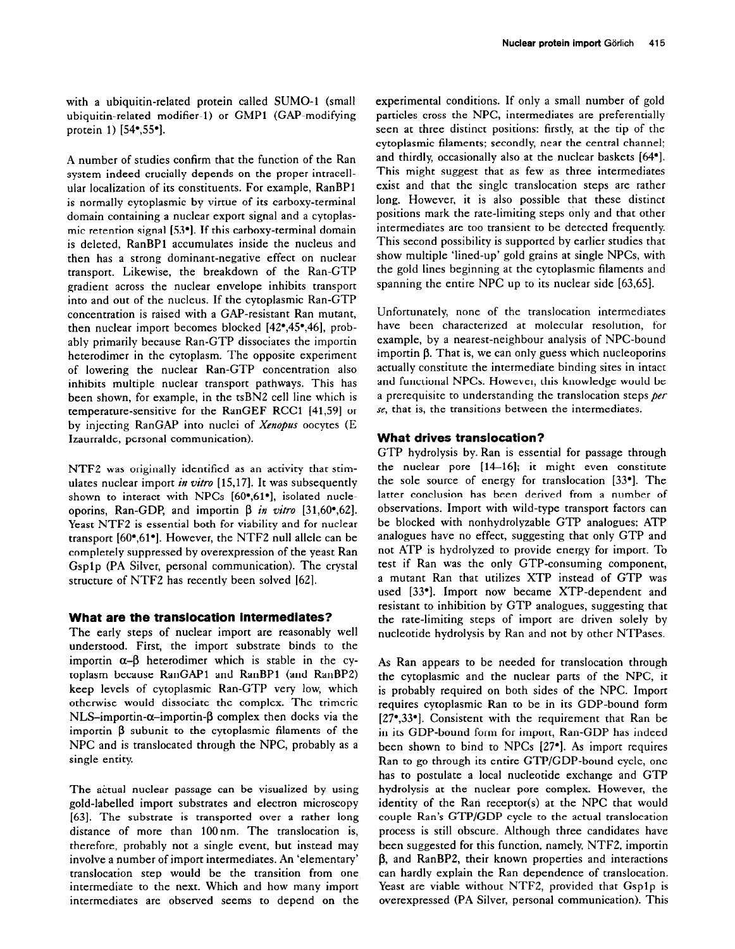with a ubiquitin-related protein called SUMO-1 (small ubiquitin-related modifier-l) or GMPl (GAP-modifying protein 1) [54<sup>\*</sup>,55<sup>\*</sup>].

A number of studies confirm that the function of the Ran system indeed crucially depends on the proper intracellular localization of its constituents. For example, RanBPl is normally cytoplasmic by virtue of its carboxy-terminal domain containing a nuclear export signal and a cytoplasmic retention signal [53\*]. If this carboxy-terminal domain is deleted, RanBPl accumulates inside the nucleus and then has a strong dominant-negative effect on nuclear transport. Likewise, the breakdown of the Ran-GTP gradient across the nuclear envelope inhibits transport into and out of the nucleus. If the cytoplasmic Ran-GTP concentration is raised with a GAP-resistant Ran mutant, then nuclear import becomes blocked [42\*,45',46], probably primarily because Ran-GTP dissociates the importin heterodimer in the cytoplasm. The opposite experiment of lowering the nuclear Ran-GTP concentration also inhibits multiple nuclear transport pathways. This has been shown, for example, in the tsBN2 cell line which is temperature-sensitive for the RanGEF RCCl (41,591 or by injecting RanGAP into nuclei of Xenopus oocytes (E Izaurralde, personal communication).

NTFZ was originally identified as an activity that stimulates nuclear import in vitro [15,17]. It was subsequently shown to interact with NPCs [60°,61°], isolated nucleoporins, Ran-GDP, and importin  $\beta$  in vitro [31,60°,62]. Yeast NTFZ is essential both for viability and for nuclear transport [60',61\*]. However, the NTFZ null allele can be completely suppressed by overexpression of the yeast Ran Gsplp (PA Silver, personal communication). The crystal structure of NTFZ has recently been solved [62].

## **What are the translocation intermediates?**

The early steps of nuclear import are reasonably well understood. First, the import substrate binds to the importin  $\alpha-\beta$  heterodimer which is stable in the cytoplasm because RanGAPl and RanBPl (and RanBP2) keep levels of cytoplasmic Ran-GTP very low, which otherwise would dissociate the complex. The trimeric NLS-importin- $\alpha$ -importin- $\beta$  complex then docks via the importin B subunit to the cytoplasmic filaments of the NPC and is translocated through the NPC, probably as a single entity.

The actual nuclear passage can be visualized by using gold-labelled import substrates and electron microscopy [63]. The substrate is transported over a rather long distance of more than 100nm. The translocation is, therefore, probably not a single event, but instead may involve a number of import intermediates. An 'elementary' translocation step would be the transition from one intermediate to the next. Which and how many import intermediates are observed seems to depend on the experimental conditions. If only a small number of gold particles cross the NPC, intermediates are preferentially seen at three distinct positions: firstly, at the tip of the cytoplasmic filaments; secondly, near the central channel; and thirdly, occasionally also at the nuclear baskets [64']. This might suggest that as few as three intermediates exist and that the single translocation steps are rather long. However, it is also possible that these distinct positions mark the rate-limiting steps only and that other intermediates are too transient to be detected frequently. This second possibility is supported by earlier studies that show multiple 'lined-up' gold grains at single NPCs, with the gold lines beginning at the cytoplasmic filaments and spanning the entire NPC up to its nuclear side [63,65].

Unfortunately, none of the translocation intermediates have been characterized at molecular resolution, for example, by a nearest-neighbour analysis of NPC-bound importin  $\beta$ . That is, we can only guess which nucleoporins actually constitute the intermediate binding sites in intact and functional NPCs. However, this knowledge would be a prerequisite to understanding the translocation steps per se, that is, the transitions between the intermediates.

## **What drives translocation?**

GTP hydrolysis by. Ran is essential for passage through the nuclear pore [14-161; it might even constitute the sole source of energy for translocation [33\*]. The latter conclusion has been derived from a number of observations. Import with wild-type transport factors can be blocked with nonhydrolyzable GTP analogues; ATP analogues have no effect, suggesting that only GTP and not ATP is hydrolyzed to provide energy for import. To test if Ran was the only GTP-consuming component, a mutant Ran that utilizes XTP instead of GTP was used [33\*]. Import now became XTP-dependent and resistant to inhibition by GTP analogues, suggesting that the rate-limiting steps of import are driven solely by nucleotide hydrolysis by Ran and not by other NTPases.

As Ran appears to be needed for translocation through the cytoplasmic and the nuclear parts of the NPC, it is probably required on both sides of the NPC. Import requires cytoplasmic Ran to be in its GDP-bound form [27\*,33\*]. Consistent with the requirement that Ran be in its GDP-bound form for import, Ran-GDP has indeed been shown to bind to NPCs [27<sup>°</sup>]. As import requires Ran to go through its entire GTP/GDP-bound cycle, one has to postulate a local nucleotide exchange and GTP hydrolysis at the nuclear pore complex. However, the identity of the Ran receptor(s) at the NPC that would couple Ran's GTP/GDP cycle to the actual translocation process is still obscure. Although three candidates have been suggested for this function, namely, NTF2, importin B, and RanBP2, their known properties and interactions can hardly explain the Ran dependence of translocation. Yeast are viable without NTF2, provided that Gsp1p is overexpressed (PA Silver, personal communication). This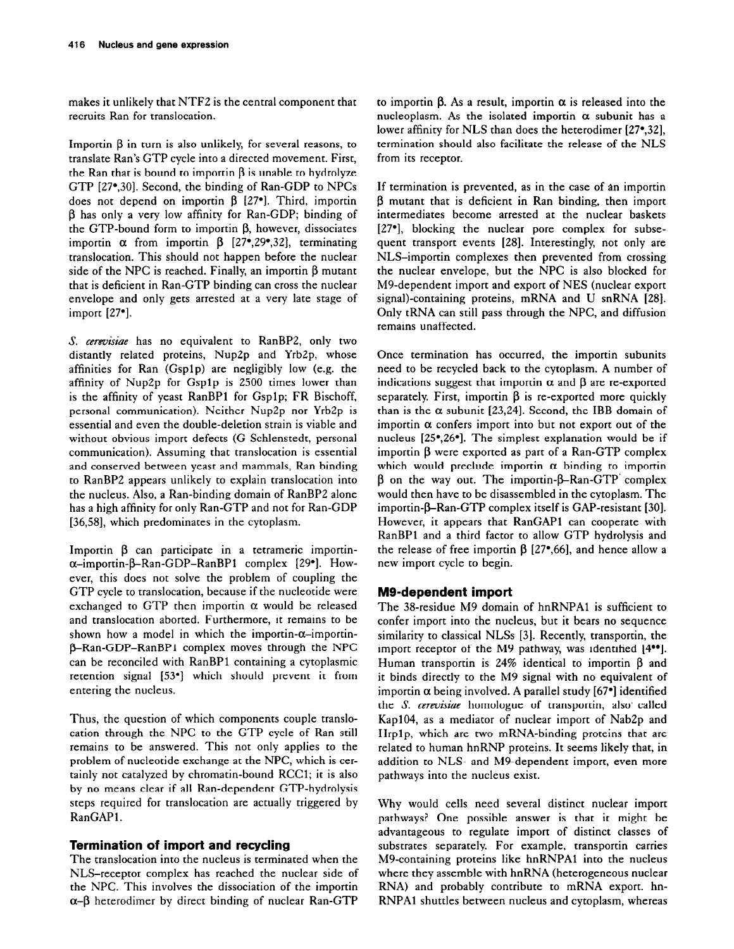makes it unlikely that NTFZ is the central component that recruits Ran for translocation.

Importin  $\beta$  in turn is also unlikely, for several reasons, to translate Ran's GTP cycle into a directed movement. First, the Ran that is bound to importin  $\beta$  is unable to hydrolyze GTP [27\*,30]. Second, the binding of Ran-GDP to NPCs does not depend on importin  $\beta$  [27<sup>\*</sup>]. Third, importin B has only a very low affinity for Ran-GDP; binding of the GTP-bound form to importin B, however, dissociates importin  $\alpha$  from importin  $\beta$  [27<sup>\*</sup>, 29<sup>\*</sup>, 32], terminating translocation. This should not happen before the nuclear side of the NPC is reached. Finally, an importin  $\beta$  mutant that is deficient in Ran-GTP binding can cross the nuclear envelope and only gets arrested at a very late stage of import [27\*].

S. cerevisiae has no equivalent to RanBP2, only two distantly related proteins, Nup2p and Yrb2p, whose affinities for Ran (Gsplp) are negligibly low (e.g. the affinity of Nup2p for Gsplp is 2500 times lower than is the affinity of yeast RanBPl for Gsplp; FR Bischoff, personal communication). Neither Nup2p nor Yrb2p is essential and even the double-deletion strain is viable and without obvious import defects (G Schlenstedt, personal communication). Assuming that translocation is essential and conserved between yeast and mammals, Ran binding to RanBP2 appears unlikely to explain translocation into the nucleus. Also, a Ran-binding domain of RanBP2 alone has a high affinity for only Ran-GTP and not for Ran-GDP [36,58], which predominates in the cytoplasm.

Importin  $\beta$  can participate in a tetrameric importina-importin-B-Ran-GDP-RanBPl complex [29']. However, this does not solve the problem of coupling the GTP cycle to translocation, because if the nucleotide were exchanged to GTP then importin  $\alpha$  would be released and translocation aborted. Furthermore, it remains to be shown how a model in which the importin- $\alpha$ -importin-B-Ran-GDP-RanBPl complex moves through the NPC can be reconciled with RanBPl containing a cytoplasmic retention signal [53'] which should prevent it from entering the nucleus.

Thus, the question of which components couple translocation through the NPC to the GTP cycle of Ran still remains to be answered. This not only applies to the problem of nucleotide exchange at the NPC, which is certainly not catalyzed by chromatin-bound RCCl; it is also by no means clear if all Ran-dependent GTP-hydrolysis steps required for translocation are actually triggered by RanGAP1.

# **Termination of import and recycling**

The translocation into the nucleus is terminated when the NLS-receptor complex has reached the nuclear side of the NPC. This involves the dissociation of the importin  $\alpha$ - $\beta$  heterodimer by direct binding of nuclear Ran-GTP

to importin B. As a result, importin *a* is released into the nucleoplasm. As the isolated importin  $\alpha$  subunit has a lower affinity for NLS than does the heterodimer [27\*,32], termination should also facilitate the release of the NLS from its receptor.

If termination is prevented, as in the case of an importin B mutant that is deficient in Ran binding, then import intermediates become arrested at the nuclear baskets [27\*], blocking the nuclear pore complex for subsequent transport events [28]. Interestingly, not only are NLS-importin complexes then prevented from crossing the nuclear envelope, but the NPC is also blocked for M9-dependent import and export of NES (nuclear export signal)-containing proteins, mRNA and U snRNA [28]. Only tRNA can still pass through the NPC, and diffusion remains unaffected.

Once termination has occurred, the importin subunits need to be recycled back to the cytoplasm. A number of indications suggest that importin  $\alpha$  and  $\beta$  are re-exported separately. First, importin  $\beta$  is re-exported more quickly than is the  $\alpha$  subunit [23,24]. Second, the IBB domain of importin  $\alpha$  confers import into but not export out of the nucleus [25',26']. The simplest explanation would be if importin  $\beta$  were exported as part of a Ran-GTP complex which would preclude importin  $\alpha$  binding to importin  $\beta$  on the way out. The importin- $\beta$ -Ran-GTP' complex would then have to be disassembled in the cytoplasm. The importin- $\beta$ -Ran-GTP complex itself is GAP-resistant [30]. However, it appears that RanGAPl can cooperate with RanBPl and a third factor to allow GTP hydrolysis and the release of free importin  $\beta$  [27 $\degree$ ,66], and hence allow a new import cycle to begin.

# **MS-dependent import**

The 38-residue M9 domain of hnRNPA1 is sufficient to confer import into the nucleus, but it bears no sequence similarity to classical NLSs [3]. Recently, transportin, the import receptor of the M9 pathway, was identified [4\*\*]. Human transportin is 24% identical to importin  $\beta$  and it binds directly to the M9 signal with no equivalent of importin  $\alpha$  being involved. A parallel study [67 $\bullet$ ] identified the S. *cerzvisiae* homologue of transportin, also' called Kap104, as a mediator of nuclear import of Nab2p and Hrplp, which are two mRNA-binding proteins that are related to human hnRNP proteins. It seems likely that, in addition to NLS- and M9-dependent import, even more pathways into the nucleus exist.

Why would cells need several distinct nuclear import pathways? One possible answer is that it might be advantageous to regulate import of distinct classes of substrates separately. For example, transportin carries M9-containing proteins like hnRNPA1 into the nucleus where they assemble with hnRNA (heterogeneous nuclear RNA) and probably contribute to mRNA export. hn-RNPAl shuttles between nucleus and cytoplasm, whereas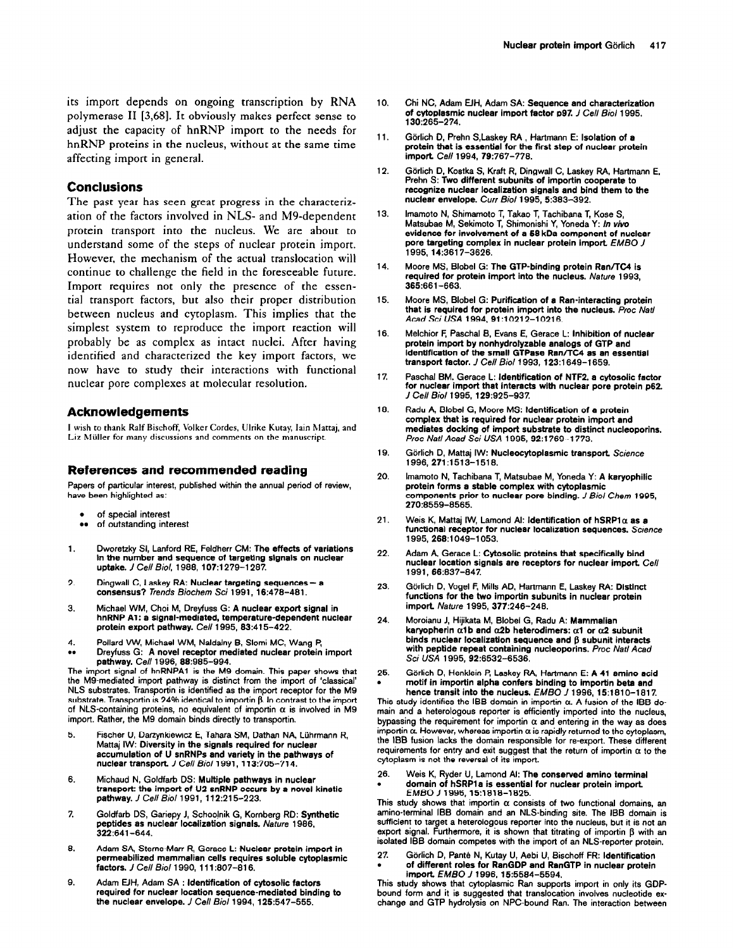hnRNP proteins in the nucleus, without at the same time affecting import in general.

# **Conclusions**

The past year has seen great progress in the characterization of the factors involved in NLS- and M9-dependent protein transport into the nucleus. We are about to understand some of the steps of nuclear protein import. However, the mechanism of the actual translocation will continue to challenge the field in the foreseeable future. Import requires not only the presence of the essential transport factors, but also their proper distribution between nucleus and cytoplasm. This implies that the simplest system to reproduce the import reaction will probably be as complex as intact nuclei. After having identified and characterized the key import factors, we now have to study their interactions with functional nuclear pore complexes at molecular resolution.

## **Acknowledgements**

I wish to thank Ralf Bischoff, Volker Cordes. Ulrike Kutay, Iain hlartaj. and Liz Müller for many discussions and comments on the manuscript.

#### **References and recommended reading**

**Papers of particular interest, published within the annual period of review, have been highlighted as:** 

- . **of special interest**
- **••** of outstanding interest
- 1. **Dworetzky SI, Lanford RE, Feldherr CM: The effects of variations in the number and sequence of targeting signals on nuclear uptake.** *J Cell Biol,* **1988, 107:1279-l 207.**
- $\mathbf{2}$ Dingwall C, Laskey RA: Nuclear targeting sequences - a **consensus?** *Trends Biochem Sci* **1991, 16:478-481.**
- **3. Michael WM. Choi M, Dreyfuss G: A nuclear export signal in hnRNP Al: a signal-mediated, temperature-dependent nuclear protein export pathway. Cell 1995, 63:415-422.**
- **4. . . Pollard VW, Michael WM, Naldalny 8, Slomi MC, Wang P, Dreyfuss G: A novel receptor mediated nuclear protein import**

**pathway. Cell 1996, 66:985-994. The import signal of hnRNPA1 is the M9 domain. This paper shows that the MS-mediated import pathway is distinct from the import of 'classical' NLS substrates. Transportin is identified as the import receptor for the M9**  substrate. Transportin is 24% identical to importin  $\beta$ . In contrast to the import of NLS-containing proteins, no equivalent of importin  $\alpha$  is involved in M9 **import. Rather, the M9 domain binds directly to transportin.** 

- 5. Fischer U, Darzynkiewicz E, Tahara SM, Dathan NA, Lührmann R, **Mattaj IW: Diversity in the signals required for nuclear accumulation of U snRNPs and variety in the pathways of nuclear transport** *J Cell Bioll991,* **113:705-714.**
- **Michaud N, Goldfarb DS: Multiple pathways in nuclear**  6. **transport: the import of U2 snRNP occurs by a novel kinetic pathway.** *J Cell Biol* **1991, 112:215-223.**
- $\overline{z}$ **Goldfsrb DS, Gariepy J, Schoojnik G, Kornberg RD: Synthetic peptides as nuclear localization signals.** *Nature* **1986, 322:641-644.**
- 8. Adam SA, Sterne-Marr R, Gerace L: Nuclear protein import in **permeabilired mammalian cells requires soluble cytoplasmic factors.** *J Cell Biol* **1990, 1 II :807-816.**
- **Adam EIH. Adam SA** : **Identification of cytosolic factors**  9. **required for nuclear location sequence-mediated binding to the nuclear envelope.** *J Cell Biol* **1994, 126:547-555.**
- **Chi NC, Adam EIH, Adam SA: Sequence and characterization of cytoplasmic nuclear import factor p97.** *J Cell Biol* **1995, 130~265-274.**
- **11.**  Görlich D, Prehn S,Laskey RA, Hartmann E: Isolation of a **protein that is essential for the first step of nuclear protein import Cell 1994,76:767-778.**
- **12.**  Görlich D, Kostka S, Kraft R, Dingwall C, Laskey RA, Hartmann E, **Prehn S: Two different subunits of importin cooperate to recognize nuclear localization signals and bind them to the nuclear envelope.** *Cur Bioll995,* **5383-392.**
- **13. lmamoto N, Shimamoto T, Takso T, Tachibana T, Kose S,**  Matsubae M, Sekimoto T, Shimonishi Y, Yoneda Y: In vivo **evidence for involvement of a 58 kDa component of nuclear pore targeting complex in nuclear protein import** *EMBO J*  **1995. 14:3617-3626.**
- **14. Moore MS, Blobel G: The GTP-binding protein Ran/TG4 is required for protein import into the nucleus. Nature 1993, 365:661-663.**
- **15. Moore MS, Blobel G: Purification of a Ran-interacting protein that is required for protein import into the nucleus. Proc Nati**  *Acad Sci USA* **1994,91 :10212-l 0216.**
- **16. Melchior F, Paschal B, Evans E, Gerace L: Inhibition of nuclear protein import by nonhydrolyzable analogs of GTP and identification of the small GTPase Ran/TC4 as an essential transport factor.** *J Cell Biol* **1993, 123:1649-l 659.**
- **1 z**  Paschal BM, Gerace L: **Identification of NTF2**, a cytosolic factor for nuclear import that interacts with nuclear pore protein p62. *J Cell Biol* **1995, 129:925-937.**
- **18. Radu A, Blobel G, Moore MS: Identification of a protein complex that is required for nuclear protein import and mediates docking of import substrate to distinct nucleoporins.**  *Proc Nat/ Aced Sci USA* **1995, 92:1769-l 773.**
- **19.**  Görlich D, Mattaj IW: Nucleocytoplasmic transport, Science **1996, 271:1513-1518.**
- **20. lmsmoto N, Tachibana T, Matsubae M, Yoneda Y: A karyophilic orotein forms a stable comolex with cvtoolasmic**  components prior to nuclear pore binding. *J Biol Chem* 1995, *270:8559-8565.*
- **21.**  Weis K, Mattai IW, Lamond AI: Identification of  $h$ SRP1 $\alpha$  as a **functional receptor for nuclear localization sequences.** *Science*  **1995, 266:1049-l 053.**
- **22. Adam A, Gerace L: Cytosolic proteins that specifically bind nuclear location signals are receptors for nuclear import Cell 1991, 66:837-847.**
- **23.**  Görlich D, Vogel F, Mills AD, Hartmann E, Laskey RA: Distinct **functions for the two importin subunits in nuclear protein import** *Nature* **1995, 377:246-248.**
- **24. Moroianu J, Hijikata M, Blobel G. Radu A: Mammalian**  karyopherin  $\alpha$ 1b and  $\alpha$ 2b heterodimers:  $\alpha$ 1 or  $\alpha$ 2 subunit binds nuclear localization sequence and  $\beta$  subunit interacts **with peptide repeat containing nucleoporins.** *Proc Nat/ Acad Sci USA* **1995,92:6532-6536.**
- **25. . Gijrlich D, Henklein P, Lsskey RA, Hsrtmann E: A 41 amino acid motif in importin alpha confers binding to importin beta and hence transit into the nucleus.** *EMBO J* 1996, 15:1810-1817.

**This study identifies the IBB domain in importin a. A fusion of the IBB domain and a heterologous reporter is efficiently imported into the nucleus,**  bypassing the requirement for importin  $\alpha$  and entering in the way as does importin  $\alpha$ . However, whereas importin  $\alpha$  is rapidly returned to the cytoplasm, **the IBB fusion lacks the domain responsible for re-export. These different**  requirements for entry and exit suggest that the return of importin  $\alpha$  to the **cytoplasm is not the reversal of its import.** 

**26. Weis K, Ryder U, Lamond Al: The conserved amino terminal . domain of hSRPla is essential for nuclear protein impott**  *EMBO J* **1996,15:1818-l 825.** 

This study shows that importin  $\alpha$  consists of two functional domains, an **amino-terminal IBB domain and an NLS-binding site. The IBB domain is sufficient to target a heterologous reporter into the nucleus, but it is not an**  export signal. Furthermore, it is shown that titrating of importin  $\beta$  with an **isolated IBB domain competes with the import of an NLS-reporter protein.** 

27. Görlich D, Panté N, Kutay U, Aebi U, Bischoff FR: Identification **. of different roles for RanGDP and RanGTP in nuclear protein import.** *EMBO J* **1996,15:5584-5594.** 

**This study shows that cytoplasmic Ran supports import in only its GDP-bound form and it is suggested that transloostion involves nucleotide exchange and GTP hydrolysis on NPC-bound Ran. The interaction between**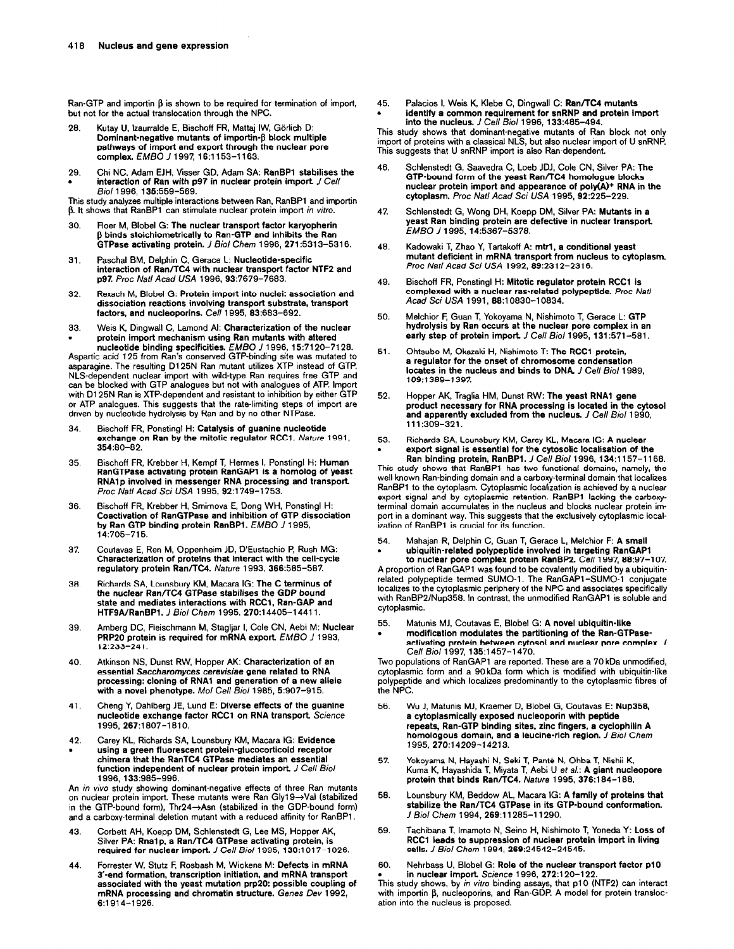Ran-GTP and importin β is shown to be required for termination of import, **but not for the actual translocation through the NPC.** 

- 28. Kutay U, Izaurralde E, Bischoff FR, Mattai IW, Görlich D: **Dominant-negative mutants of importin-β block multiple pathways of import and export through the nuclear pore complex. E** *MB0 J* **1997, 16:1153-l 183.**
- **29. Chi NC, Adam EJH, Visser GD, Adam SA: RanBPl stabilises the**  interaction of Ran with p97 in nuclear protein import *J Cell Biol* **1996, 135:559-569.**

**This study analyzes multiple interactions between Ran, RanBPl and importin**  β. It shows that RanBP1 can stimulate nuclear protein import in vitro.

- **30. Fleer M, Blobel G: The nuclear transport factor karyopherin p binds stoichiometrically to Ran-GTP and inhibits the Ran GTPase activating protein. I** *Biol Chem* **1996, 271:5313-5316.**
- **31. Paschal BM, Delphin C, Gerace L: Nucleotide-specific interaction of Ran/TC4 with nuclear transport factor NTF2 and p97. froc Nat/ Acad** *USA* **1996, 93:7679-7683.**
- **32. Rexach M, Blobel G: Protein import into nuclei: association and dissociation reactions involving transport substrate, transport factors, and nucleoporins. Cell 1995, 83:683-692.**
- **33. Weis K, Dingwall C, Lamond Al: Characterization of the nuclear**

rotein import mechanism using Ran mutants with altered<br>nucleotide binding specificities. EMBO J 1996, 15:7120-7128.<br>Aspartic acid 125 from Ran's conserved GTP-binding site was mutated to<br>asparagine. The resulting D125N Ran **NLS-dependent nuclear import with wild-type Ran requires free GTP and can be blocked with GTP analogues but not with analogues of ATP. Import**  with D125N Ran is XTP-dependent and resistant to inhibition by either GTP **or ATP analogues. This suggests that the rate-limiting steps of import are driven by nucleotide hydrolysis by Ran and by no other NTPase.** 

- **34. Bischoff FR, Ponstingl H: Catalysis of guanine nucleotide exchange on Ran by the mitotic regulator RCCl. Nature 1991, 354180-82.**
- **35. Bischoff FR, Krebber H, Kempf T, Hermes I, Ponstingl H: Human RanGTPaoe activating protein RanGAPl is a homolog of yeast RNA1 p involved in messenger RNA processing and transport**  *Proc Nat/ Acad Sci USA* **1995, 92:1749-l 753.**
- **36. Bischofl FR, Krebber H, Smirnova E, Dong WH, Ponstingl H: Coactivation of RanGTPase and inhibition of GTP dissociation by Ran GTP binding protein RanBPl.** *EMBO J* **1995, 14:705-715.**
- **37. Coutavas E, Ren M, Oppenheim JD, D'Eustachio P, Rush MG: Characterization of proteins that interact with the cell-cycle regulatory protein Ran/TC4.** *Nature* **1993, 366:585-587.**
- **38. Richards SA, Lounsbury KM, Macara IG: The C terminus of the nuclear Ran/TGl GTPase stabilises the GDP bound state and mediates interactions with RCCl, Ran-GAP and HTFSA/RanBPl.** *J Biol Chem* **1995, 270:14405-l 4411.**
- 39. **Amberg DC, Fleischmann M, Stagljar I, Cole CN, Aebi M: Nuclear PRPPO protein is required for mRNA export** *EMBO J* **1993, 12:233-241.**
- **40.**  with a novel phenotype. Mol Cell Biol 1985, 5:907-915.
- **41. Cheng Y, Dahlberg JE, Lund E: Diverse effects of the guanine nucleotide exchange factor RCCI on RNA transport Science 1995, 267:1807-l 610.**
- **42. . Carey KL, Richards SA, Lounsbury KM, Macara IG: Evidence using a green fluorescent protein-glucocorticoid receptor chimera that the RanTC4 GTPase mediates an essential function independent of nuclear protein import** *J Cell Biol*  **1996,133:985-996.**

**An in viva study showing dominant-negative effects of three Ran mutants on nuclear protein import. These mutants were Ran Glyl9-+Val (stabilized**  in the GTP-bound form), Thr24→Asn (stabilized in the GDP-bound form) **and a carboxy-terminal deletion mutant with a reduced affinity for RanBPl** 

- **43. Corbett AH, Koepp DM, Schlenstedt G, Lee MS, Hopper AK,**  Silver PA: Rna1p, a Ran/TC4 GTPase activating protein, is **required for nuclear import.** *J Cell Bioll995,* **130:1017-l 026.**
- **44. Forrester W, Stutz F, Rosbash M, Wickens M: Defects in mRNA 3'-end formation, transcription initiation, and mRNA transport associated with the yeast mutation prp20: possible coupling of mRNA processing and chromatin structure.** Ge*nes Dev* 1992<br>**6**:1914–1926.

**45. Palacios I, Weis K, Klebe C, Dingwall C: Ran/TC4 mutants . identify a common requirement for snRNP and protein import into the nucleus.** *J Cell Biol* **1996, 133:485-494.** 

**This study shows that dominant-negative mutants of Ran block not only import of proteins with a classical NLS, but also nuclear import of U snRNF'. This suggests that U snRNP import is also Ran-dependent** 

- **46. Schlenstedt G, Saavedra C, Loeb JDJ, Cole CN, Silver PA: The GTP-bound form of the yeast Ran/TC4 homologue blocks**  nuclear protein import and appearance of poly(A)<sup>+</sup> RNA in the **cytoplasm.** *froc Nat/ Acad Sci USA* **1995, 92:225-229.**
- **47. Schlenstedt G, Wong DH, Koepp DM, Silver PA: Mutants in a yeast Ran binding protein are defective in nuclear transport.**  *EMBO J 1995, 14~5367-5378.*
- **48. Kadowaki T, Zhao Y, Tatiakoff A: mtrl, a conditional yeast mutant deficient in mRNA transport from nucleus to cytoplasm.**  *Proc Nat/ Acad Sci USA* **1992, ES:231 2-2316.**
- **49. Bischoff FR, Ponstingl H: Mitotic regulator protein RCCI is complexed with a nuclear ras-related polypeptide. Proc** *Nat/ Acad Sci USA* **1991, 88:10830-l 0834.**
- **50. Melchior F, Guan T, Yokoyama N, Nishimoto T, Gerace L: GTP hydrolysis by Ran occurs at the nuclear pore complex in an early step of protein import** *J Cell Biol* **1995, 131:571-561.**
- **51. Ohtsubo M, Okazaki H, Nishimoto T: The RCCl protein, a regulator for the onset of chromosome condensation**  locates in the nucleus and binds to DNA. *J Cell Biol* 1989, **109:1389-1397.**
- **Hopper AK, Traglia HM, Dunst RW: The yeast RNA1 gene product necessary for RNA processing is located in the cytosol and apparently excluded from the nucleus.** *J Cell Biol* **1990, 111:309-321. 52.**
- **53. . Richards SA, Lounsbury KM, Carey KL, Macara IG: A nuclear export signal is essential for the cytosolic localisation of the Ran binding protein, RanBPl.** *J Cell Biol* **1996, 134:1157-l 168.**

**This study shows that RanBPl has two functional domains, namely, the well known Ran-binding domain and a carboxy-terminal domain that localizes RanBPl to the cytoplasm. Cytoplasmic localization is achieved by a nuclear export signal and by cytoplasmic retention. RanBPl lacking the carboxyterminal domain accumulates in the nucleus and blocks nuclear protein import in a dominant way. This suggests that the exclusively cytoplasmic localization of RanBPl is crucial for its function.** 

#### **54. Mahajan R, Delphin C, Guan T, Gerace L, Melchior F: A small . ubiquitin-related polypeptide involved in targeting RanGAPl**

**to nuclear pore complex protein RanBP2. Cell 1997, 68:97-l 07. A proportion of RanGAPl was found to be covalently modified by a ubiquitinrelated polypeptide termed SUMO-1. The RanGAPl -SUMO-1 conjugate localizes to the cytoplasmic periphery of the NPC and associates specifically with RanBP2/Nup358. In contrast, the unmodified RanGAPl is soluble and cytoplasmic.** 

- **55. Matunis MJ, Coutavas E, Blobel G: A novel ubiquitin-like**
- **. modification modulates the partitioning of the Ran-GTPaseactivating protein between cytosol and nuclear pore complex.** *J Cell Biol* **1997, 135:1457-l 470.**

Atkinson NS, Dunst RW, Hopper AK: Characterization of an Two populations of RanGAP1 are reported. These are a 70 kDa unmodified,<br> **Externial Saccharomyces cerevisiae gene related to RNA** cytoplasmic form and a 90 kDa form **essential Saccharomyces cerevisiae gene related to RNA** cytoplasmic form and a 90 kDa form which is modified with ubiquitin-like **processing:** cloning of RNA1 and generation of a new allele polypeptide and which localizes polypeptide and which localizes predominantly to the cytoplasmic fibres of the NPC.

- **56. Wu J, Matunis MJ, Kraemer D, Blobel G, Coutavas E: Nup358. a cytoplasmically exposed nucleoporin with peptide repeats, Ran-GTP binding sites, zinc fingers, a cyclophilin A homologous domain, and a leucine-rich region.** *J Biol Chem 1995,270:14209-14213.*
- 57. Yokoyama N, Hayashi N, Seki T, Panté N, Ohba T, Nishii K, **Kuma K, Hayashida T, Miyata T, Aebi U** *et a/.: A* **giant nucleopore protein that binds Ran/TC4.** *Nature* 1995, 376:184-188.
- **56. Lounsbury KM, Beddow AL, Macara IG: A family of proteins that stabilize the Ran/TC4 GTPase in its GTP-bound conformation.**  *J* **Biol** *Chem* **1994,269:11285-l 1290.**
- **59. Tachibana T, lmamoto N, Seino H, Nishimoto T, Yoneda Y: LOSS of RCCl leads to suppression of nuclear protein import in living cells.** *J Biol Chem* **1994,** *269:24542-24545.*
- *60.* **Nehrbass U, Blobel G: Role of the nuclear transport factor pi 0**

• i**n nuclear import.** Sc*ience* 1996, **272**:120–122.<br>This study shows, by *in vitro* binding assays, that p10 (NTF2) can interact<br>with importin β, nucleoporins, and Ran-GDP. A model for protein transloc**ation into the nucleus is proposed.**